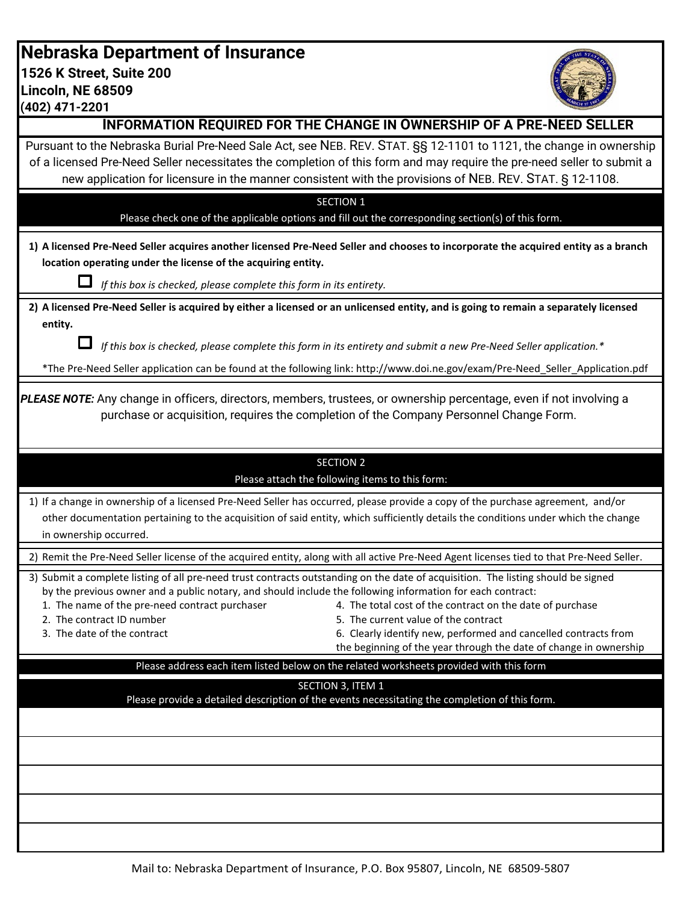**Nebraska Department of Insurance 1526 K Street, Suite 200 Lincoln, NE 68509**

**(402) 471-2201**



| <b>INFORMATION REQUIRED FOR THE CHANGE IN OWNERSHIP OF A PRE-NEED SELLER</b>                                                                                                                                                                                                                                                                                                                                                                                                                                                                                                                               |  |  |  |
|------------------------------------------------------------------------------------------------------------------------------------------------------------------------------------------------------------------------------------------------------------------------------------------------------------------------------------------------------------------------------------------------------------------------------------------------------------------------------------------------------------------------------------------------------------------------------------------------------------|--|--|--|
| Pursuant to the Nebraska Burial Pre-Need Sale Act, see NEB. REV. STAT. SS 12-1101 to 1121, the change in ownership<br>of a licensed Pre-Need Seller necessitates the completion of this form and may require the pre-need seller to submit a<br>new application for licensure in the manner consistent with the provisions of NEB. REV. STAT. § 12-1108.                                                                                                                                                                                                                                                   |  |  |  |
|                                                                                                                                                                                                                                                                                                                                                                                                                                                                                                                                                                                                            |  |  |  |
| <b>SECTION 1</b><br>Please check one of the applicable options and fill out the corresponding section(s) of this form.                                                                                                                                                                                                                                                                                                                                                                                                                                                                                     |  |  |  |
| 1) A licensed Pre-Need Seller acquires another licensed Pre-Need Seller and chooses to incorporate the acquired entity as a branch<br>location operating under the license of the acquiring entity.                                                                                                                                                                                                                                                                                                                                                                                                        |  |  |  |
| If this box is checked, please complete this form in its entirety.                                                                                                                                                                                                                                                                                                                                                                                                                                                                                                                                         |  |  |  |
| 2) A licensed Pre-Need Seller is acquired by either a licensed or an unlicensed entity, and is going to remain a separately licensed<br>entity.                                                                                                                                                                                                                                                                                                                                                                                                                                                            |  |  |  |
| If this box is checked, please complete this form in its entirety and submit a new Pre-Need Seller application.*                                                                                                                                                                                                                                                                                                                                                                                                                                                                                           |  |  |  |
| *The Pre-Need Seller application can be found at the following link: http://www.doi.ne.gov/exam/Pre-Need_Seller_Application.pdf                                                                                                                                                                                                                                                                                                                                                                                                                                                                            |  |  |  |
|                                                                                                                                                                                                                                                                                                                                                                                                                                                                                                                                                                                                            |  |  |  |
| PLEASE NOTE: Any change in officers, directors, members, trustees, or ownership percentage, even if not involving a<br>purchase or acquisition, requires the completion of the Company Personnel Change Form.                                                                                                                                                                                                                                                                                                                                                                                              |  |  |  |
| <b>SECTION 2</b>                                                                                                                                                                                                                                                                                                                                                                                                                                                                                                                                                                                           |  |  |  |
| Please attach the following items to this form:                                                                                                                                                                                                                                                                                                                                                                                                                                                                                                                                                            |  |  |  |
| 1) If a change in ownership of a licensed Pre-Need Seller has occurred, please provide a copy of the purchase agreement, and/or                                                                                                                                                                                                                                                                                                                                                                                                                                                                            |  |  |  |
| other documentation pertaining to the acquisition of said entity, which sufficiently details the conditions under which the change                                                                                                                                                                                                                                                                                                                                                                                                                                                                         |  |  |  |
| in ownership occurred.                                                                                                                                                                                                                                                                                                                                                                                                                                                                                                                                                                                     |  |  |  |
|                                                                                                                                                                                                                                                                                                                                                                                                                                                                                                                                                                                                            |  |  |  |
| 2) Remit the Pre-Need Seller license of the acquired entity, along with all active Pre-Need Agent licenses tied to that Pre-Need Seller.                                                                                                                                                                                                                                                                                                                                                                                                                                                                   |  |  |  |
| 3) Submit a complete listing of all pre-need trust contracts outstanding on the date of acquisition. The listing should be signed<br>by the previous owner and a public notary, and should include the following information for each contract:<br>1. The name of the pre-need contract purchaser<br>4. The total cost of the contract on the date of purchase<br>2. The contract ID number<br>5. The current value of the contract<br>3. The date of the contract<br>6. Clearly identify new, performed and cancelled contracts from<br>the beginning of the year through the date of change in ownership |  |  |  |
| Please address each item listed below on the related worksheets provided with this form                                                                                                                                                                                                                                                                                                                                                                                                                                                                                                                    |  |  |  |
|                                                                                                                                                                                                                                                                                                                                                                                                                                                                                                                                                                                                            |  |  |  |
| SECTION 3, ITEM 1<br>Please provide a detailed description of the events necessitating the completion of this form.                                                                                                                                                                                                                                                                                                                                                                                                                                                                                        |  |  |  |
|                                                                                                                                                                                                                                                                                                                                                                                                                                                                                                                                                                                                            |  |  |  |
|                                                                                                                                                                                                                                                                                                                                                                                                                                                                                                                                                                                                            |  |  |  |
|                                                                                                                                                                                                                                                                                                                                                                                                                                                                                                                                                                                                            |  |  |  |
|                                                                                                                                                                                                                                                                                                                                                                                                                                                                                                                                                                                                            |  |  |  |
|                                                                                                                                                                                                                                                                                                                                                                                                                                                                                                                                                                                                            |  |  |  |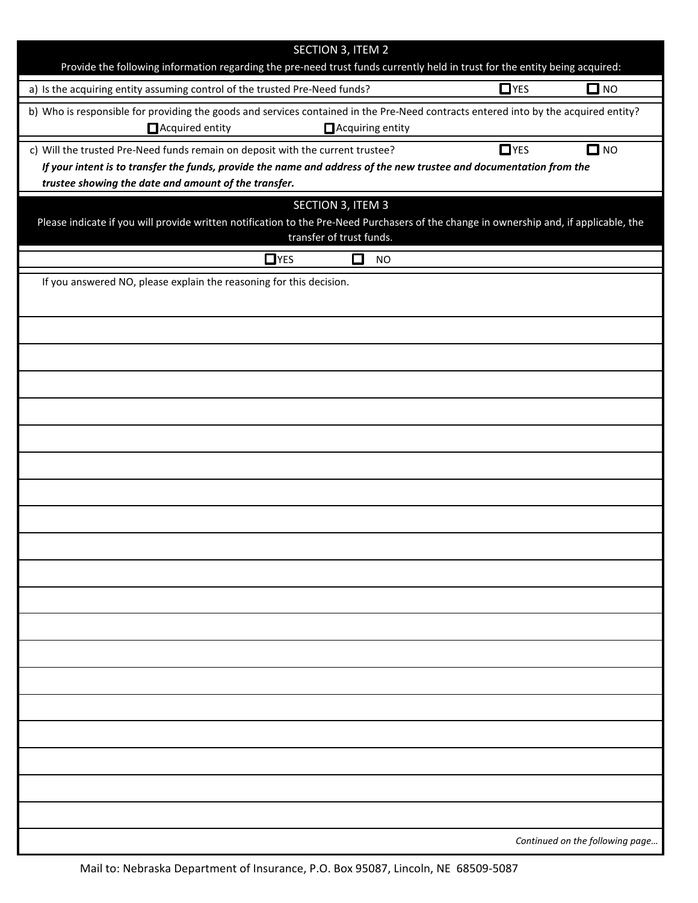| <b>SECTION 3, ITEM 2</b><br>Provide the following information regarding the pre-need trust funds currently held in trust for the entity being acquired:                                 |  |  |  |
|-----------------------------------------------------------------------------------------------------------------------------------------------------------------------------------------|--|--|--|
| $\Box$ YES<br>$\Box$ NO<br>a) Is the acquiring entity assuming control of the trusted Pre-Need funds?                                                                                   |  |  |  |
| b) Who is responsible for providing the goods and services contained in the Pre-Need contracts entered into by the acquired entity?                                                     |  |  |  |
| Acquired entity<br>Acquiring entity                                                                                                                                                     |  |  |  |
| $\Box$ YES<br>$\Box$ NO<br>c) Will the trusted Pre-Need funds remain on deposit with the current trustee?                                                                               |  |  |  |
| If your intent is to transfer the funds, provide the name and address of the new trustee and documentation from the                                                                     |  |  |  |
| trustee showing the date and amount of the transfer.                                                                                                                                    |  |  |  |
| SECTION 3, ITEM 3<br>Please indicate if you will provide written notification to the Pre-Need Purchasers of the change in ownership and, if applicable, the<br>transfer of trust funds. |  |  |  |
| $\Box$ YES<br>Ī.<br><b>NO</b>                                                                                                                                                           |  |  |  |
| If you answered NO, please explain the reasoning for this decision.                                                                                                                     |  |  |  |
|                                                                                                                                                                                         |  |  |  |
|                                                                                                                                                                                         |  |  |  |
|                                                                                                                                                                                         |  |  |  |
|                                                                                                                                                                                         |  |  |  |
|                                                                                                                                                                                         |  |  |  |
|                                                                                                                                                                                         |  |  |  |
|                                                                                                                                                                                         |  |  |  |
|                                                                                                                                                                                         |  |  |  |
|                                                                                                                                                                                         |  |  |  |
|                                                                                                                                                                                         |  |  |  |
|                                                                                                                                                                                         |  |  |  |
|                                                                                                                                                                                         |  |  |  |
|                                                                                                                                                                                         |  |  |  |
|                                                                                                                                                                                         |  |  |  |
|                                                                                                                                                                                         |  |  |  |
|                                                                                                                                                                                         |  |  |  |
|                                                                                                                                                                                         |  |  |  |
|                                                                                                                                                                                         |  |  |  |
|                                                                                                                                                                                         |  |  |  |
|                                                                                                                                                                                         |  |  |  |
|                                                                                                                                                                                         |  |  |  |
|                                                                                                                                                                                         |  |  |  |
|                                                                                                                                                                                         |  |  |  |
|                                                                                                                                                                                         |  |  |  |
| Continued on the following page                                                                                                                                                         |  |  |  |